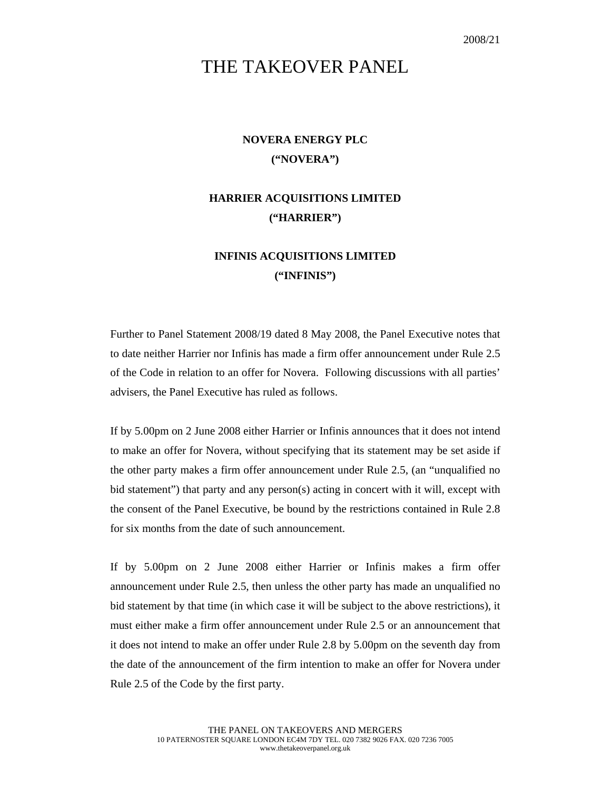## THE TAKEOVER PANEL

## **NOVERA ENERGY PLC ("NOVERA")**

## **HARRIER ACQUISITIONS LIMITED ("HARRIER")**

## **INFINIS ACQUISITIONS LIMITED ("INFINIS")**

Further to Panel Statement 2008/19 dated 8 May 2008, the Panel Executive notes that to date neither Harrier nor Infinis has made a firm offer announcement under Rule 2.5 of the Code in relation to an offer for Novera. Following discussions with all parties' advisers, the Panel Executive has ruled as follows.

If by 5.00pm on 2 June 2008 either Harrier or Infinis announces that it does not intend to make an offer for Novera, without specifying that its statement may be set aside if the other party makes a firm offer announcement under Rule 2.5, (an "unqualified no bid statement") that party and any person(s) acting in concert with it will, except with the consent of the Panel Executive, be bound by the restrictions contained in Rule 2.8 for six months from the date of such announcement.

If by 5.00pm on 2 June 2008 either Harrier or Infinis makes a firm offer announcement under Rule 2.5, then unless the other party has made an unqualified no bid statement by that time (in which case it will be subject to the above restrictions), it must either make a firm offer announcement under Rule 2.5 or an announcement that it does not intend to make an offer under Rule 2.8 by 5.00pm on the seventh day from the date of the announcement of the firm intention to make an offer for Novera under Rule 2.5 of the Code by the first party.